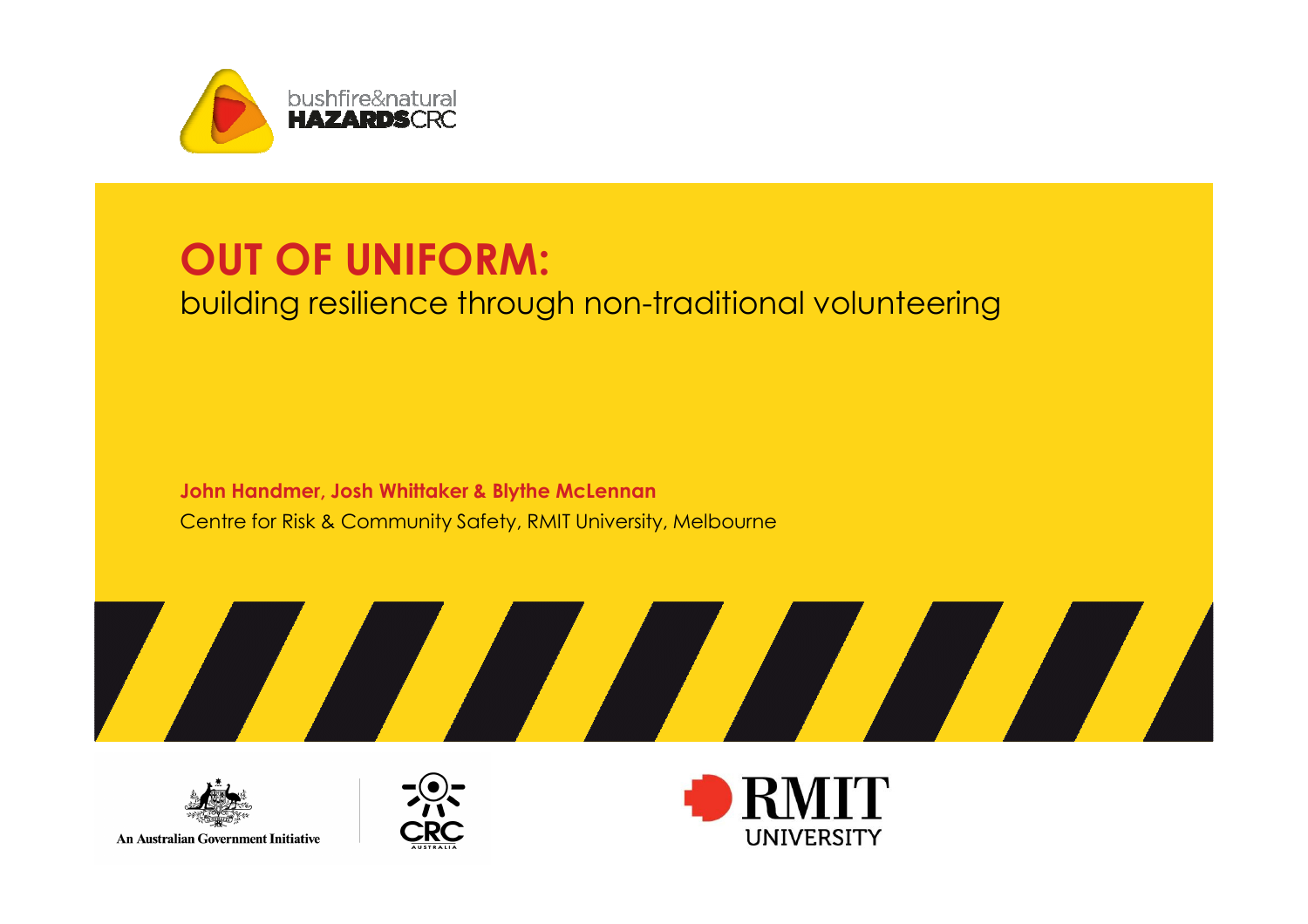

## OUT OF UNIFORM:

building resilience through non-traditional volunteering

John Handmer, Josh Whittaker & Blythe McLennan Centre for Risk & Community Safety, RMIT University, Melbourne





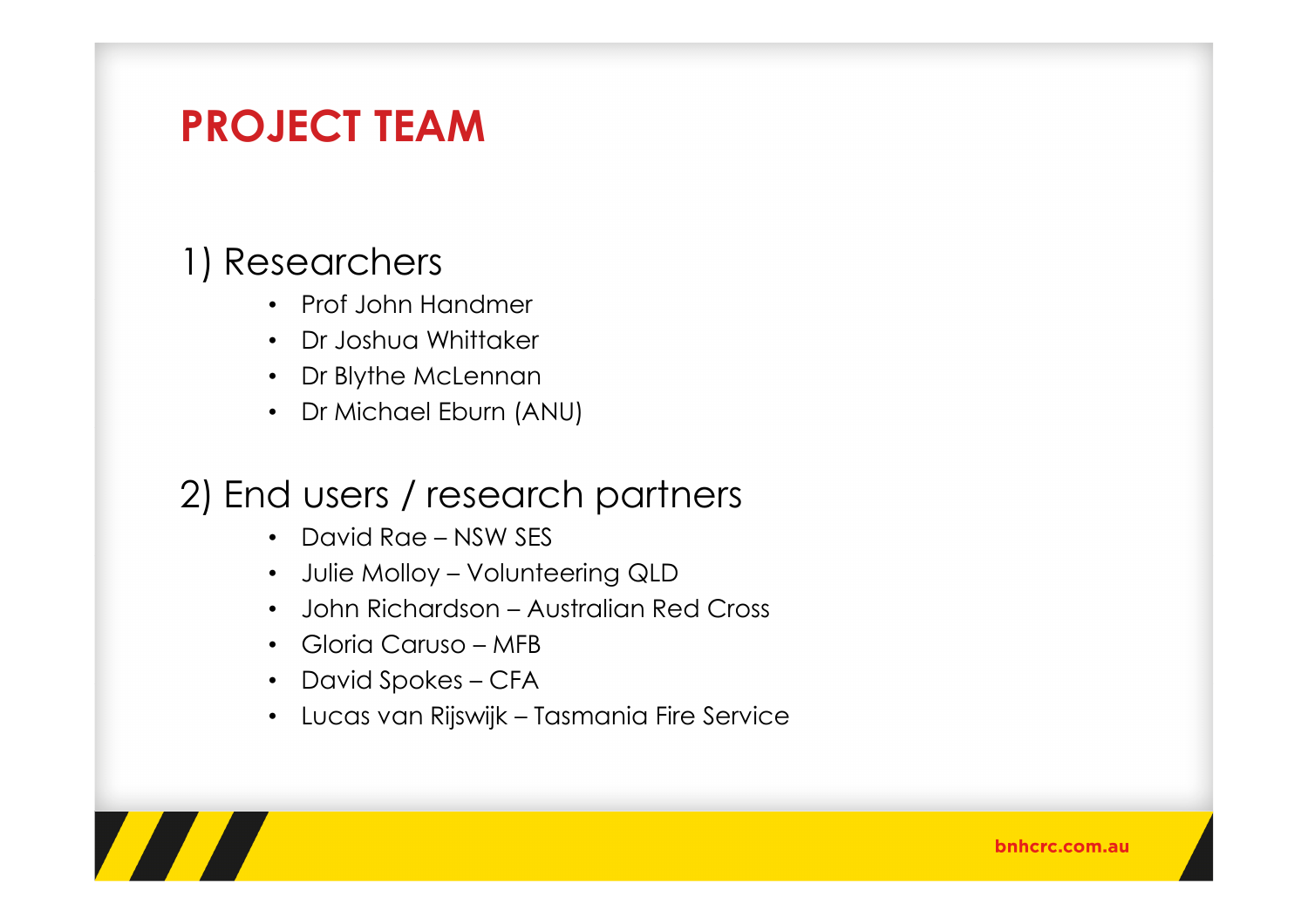## PROJECT TEAM

### 1) Researchers

- Prof John Handmer
- Dr Joshua Whittaker
- Dr Blythe McLennan
- Dr Michael Eburn (ANU)

#### 2) End users / research partners

- David Rae NSW SES
- Julie Molloy Volunteering QLD
- John Richardson Australian Red Cross
- Gloria Caruso MFB
- David Spokes CFA
- Lucas van Rijswijk Tasmania Fire Service



bnhcrc.com.au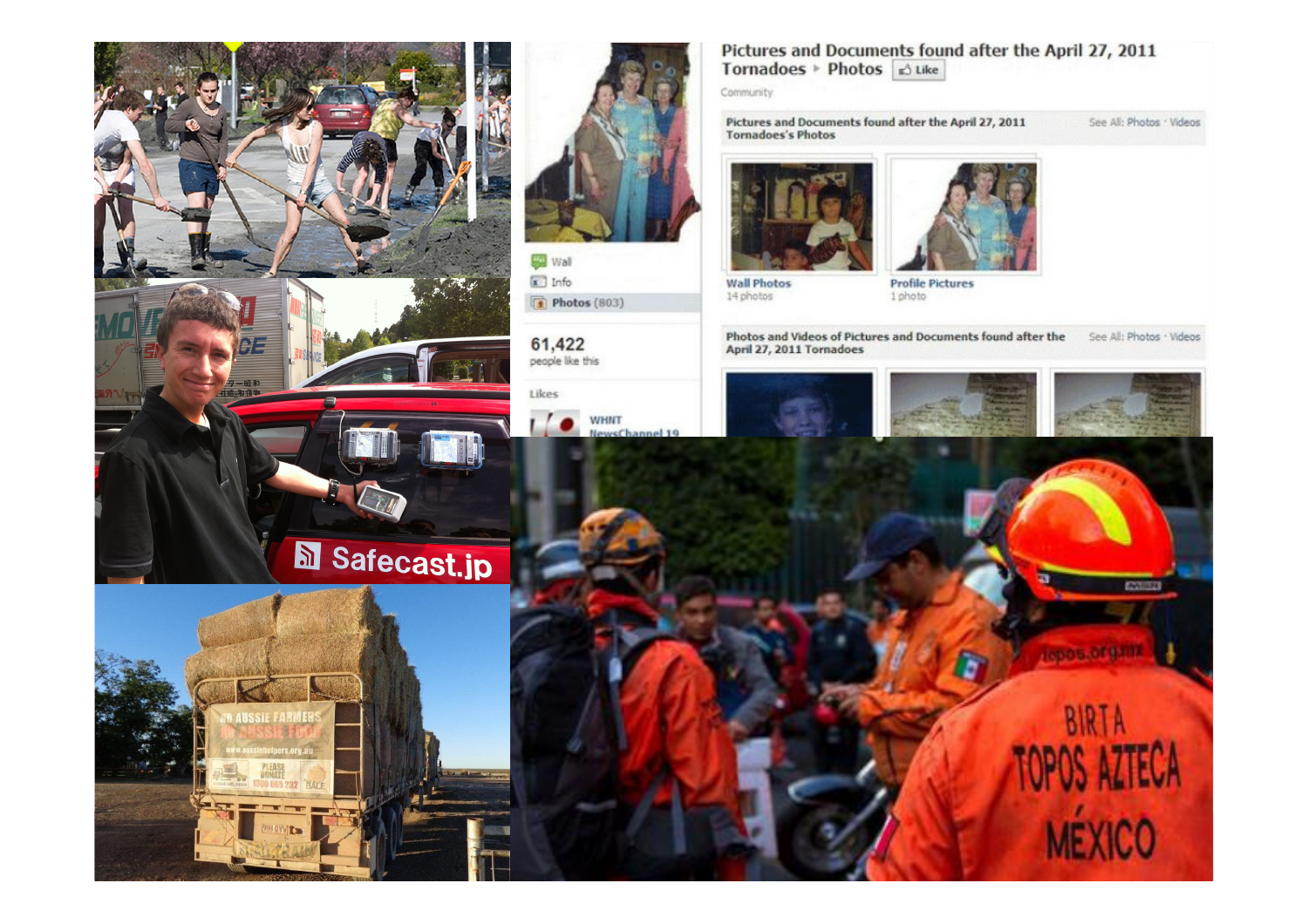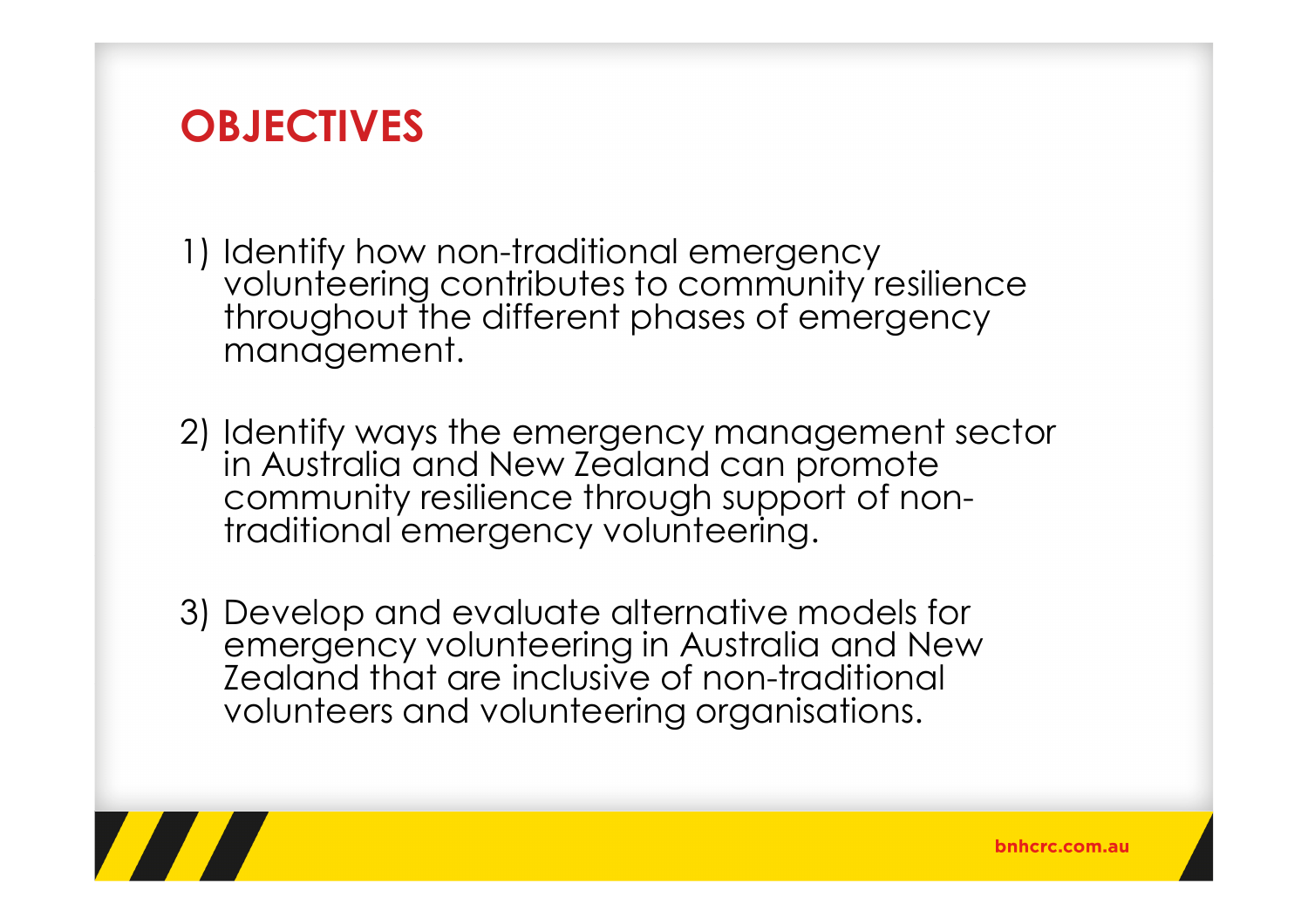## **OBJECTIVES**

- 1) Identify how non-traditional emergency volunteering contributes to community resilience throughout the different phases of emergency management.
- 2) Identify ways the emergency management sector in Australia and New Zealand can promote community resilience through support of nontraditional emergency volunteering.
- 3) Develop and evaluate alternative models for emergency volunteering in Australia and New Zealand that are inclusive of non-traditional volunteers and volunteering organisations.